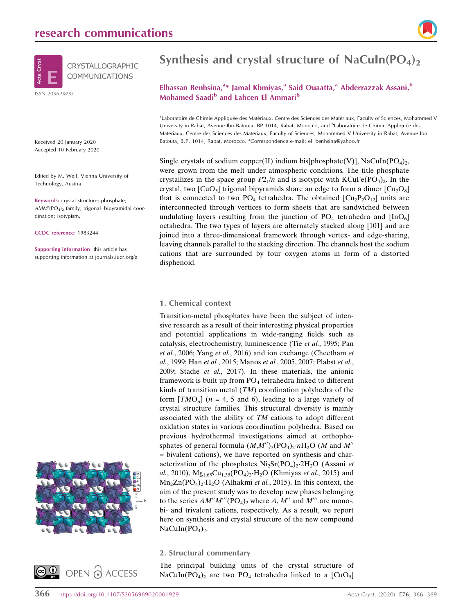# research communications



Received 20 January 2020 Accepted 10 February 2020

Edited by M. Weil, Vienna University of Technology, Austria

Keywords: crystal structure; phosphate;  $AMM'(PO<sub>4</sub>)<sub>2</sub>$  family; trigonal–bipyramidal coordination; isotypism.

CCDC reference: 1983244

Supporting information: this article has supporting information at journals.iucr.org/e





# Synthesis and crystal structure of NaCuIn( $PO<sub>4</sub>$ )<sub>2</sub>

# Elhassan Benhsina,<sup>a\*</sup> Jamal Khmiyas,<sup>a</sup> Said Ouaatta,<sup>a</sup> Abderrazzak Assani,<sup>b</sup> Mohamed Saadi<sup>b</sup> and Lahcen El Ammari<sup>b</sup>

aLaboratoire de Chimie Appliquée des Matériaux, Centre des Sciences des Matériaux, Faculty of Sciences, Mohammed V University in Rabat, Avenue Ibn Batouta, BP 1014, Rabat, Morocco, and <sup>b</sup>Laboratoire de Chimie Appliquée des Matériaux, Centre des Sciences des Matériaux, Faculty of Sciences, Mohammed V University in Rabat, Avenue Ibn Batouta, B.P. 1014, Rabat, Morocco. \*Correspondence e-mail: el\_benhsina@yahoo.fr

Single crystals of sodium copper(II) indium bis[phosphate(V)], NaCuIn(PO<sub>4)2</sub>, were grown from the melt under atmospheric conditions. The title phosphate crystallizes in the space group  $P2_1/n$  and is isotypic with KCuFe(PO<sub>4</sub>)<sub>2</sub>. In the crystal, two  $\left[\text{CuO}_5\right]$  trigonal bipyramids share an edge to form a dimer  $\left[\text{Cu}_2\text{O}_8\right]$ that is connected to two PO<sub>4</sub> tetrahedra. The obtained  $\left[\text{Cu}_2\text{P}_2\text{O}_{12}\right]$  units are interconnected through vertices to form sheets that are sandwiched between undulating layers resulting from the junction of  $PO_4$  tetrahedra and  $[InO<sub>6</sub>]$ octahedra. The two types of layers are alternately stacked along [101] and are joined into a three-dimensional framework through vertex- and edge-sharing, leaving channels parallel to the stacking direction. The channels host the sodium cations that are surrounded by four oxygen atoms in form of a distorted disphenoid.

#### 1. Chemical context

Transition-metal phosphates have been the subject of intensive research as a result of their interesting physical properties and potential applications in wide-ranging fields such as catalysis, electrochemistry, luminescence (Tie et al., 1995; Pan et al., 2006; Yang et al., 2016) and ion exchange (Cheetham et al., 1999; Han et al., 2015; Manos et al., 2005, 2007; Plabst et al., 2009; Stadie et al., 2017). In these materials, the anionic framework is built up from  $PO<sub>4</sub>$  tetrahedra linked to different kinds of transition metal (TM) coordination polyhedra of the form  $[TMO<sub>n</sub>]$  ( $n = 4, 5$  and 6), leading to a large variety of crystal structure families. This structural diversity is mainly associated with the ability of TM cations to adopt different oxidation states in various coordination polyhedra. Based on previous hydrothermal investigations aimed at orthophosphates of general formula  $(M,M'')_3(PO_4)_2 \cdot nH_2O(M$  and  $M''$ = bivalent cations), we have reported on synthesis and characterization of the phosphates  $Ni<sub>2</sub>Sr(PO<sub>4</sub>)<sub>2</sub>·2H<sub>2</sub>O$  (Assani et al., 2010),  $Mg_{1.65}Cu_{1.35}(PO_4)_2 \cdot H_2O$  (Khmiyas et al., 2015) and  $Mn_2Zn(PO_4)_2 \cdot H_2O$  (Alhakmi et al., 2015). In this context, the aim of the present study was to develop new phases belonging to the series  $AM''M'''(PO_4)_2$  where A, M'' and M''' are mono-, bi- and trivalent cations, respectively. As a result, we report here on synthesis and crystal structure of the new compound  $NaCuIn(PO<sub>4</sub>)<sub>2</sub>$ .

#### 2. Structural commentary

The principal building units of the crystal structure of NaCuIn(PO<sub>4</sub>)<sub>2</sub> are two PO<sub>4</sub> tetrahedra linked to a [CuO<sub>5</sub>]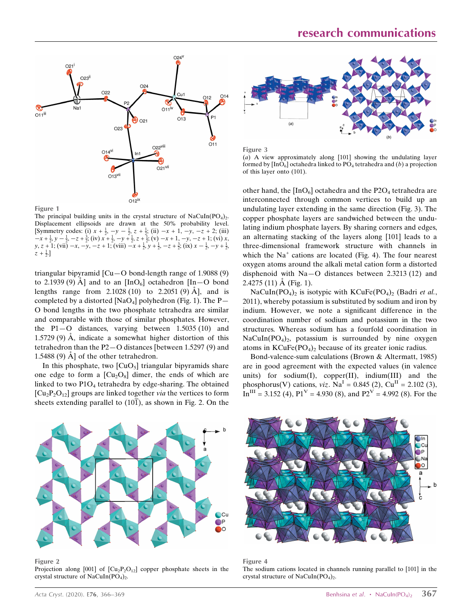

Figure 1

The principal building units in the crystal structure of  $NaCuIn(PO<sub>4</sub>)<sub>2</sub>$ . Displacement ellipsoids are drawn at the 50% probability level. [Symmetry codes: (i)  $x + \frac{1}{2}$ ,  $-y - \frac{1}{2}$ ,  $z + \frac{1}{2}$ ; (ii)  $-x + 1$ ,  $-y$ ,  $-z + 2$ ; (iii)  $-x + \frac{1}{2}, y - \frac{1}{2}, -z + \frac{3}{2}$ ; (iv)  $x + \frac{1}{2}, -y + \frac{1}{2}, z + \frac{1}{2}$ ; (v)  $-x + 1, -y, -z + 1$ ; (vi)  $x, y, z + 1$ ; (vii)  $-x, -y, -z + 1$ ; (viii)  $-x + \frac{1}{2}, y + \frac{1}{2}, -z + \frac{3}{2}$ ; (ix)  $x - \frac{1}{2}, -y + \frac{1}{2}$  $z + \frac{1}{2}$ .]

triangular bipyramid  $\left[Cu-O \text{ bond-length range of } 1.9088 \right]$  (9) to 2.1939 (9)  $\AA$  and to an [InO<sub>6</sub>] octahedron [In - O bond lengths range from  $2.1028(10)$  to  $2.2051(9)$  Å, and is completed by a distorted [NaO<sub>4</sub>] polyhedron (Fig. 1). The P $-$ O bond lengths in the two phosphate tetrahedra are similar and comparable with those of similar phosphates. However, the  $P1-O$  distances, varying between 1.5035 (10) and  $1.5729(9)$  Å, indicate a somewhat higher distortion of this tetrahedron than the P2—O distances [between 1.5297 (9) and 1.5488 (9)  $\AA$  of the other tetrahedron.

In this phosphate, two  $\left[\text{CuO}_5\right]$  triangular bipyramids share one edge to form a  $\left[\text{Cu}_2\text{O}_8\right]$  dimer, the ends of which are linked to two  $P1O_4$  tetrahedra by edge-sharing. The obtained  $\left[\text{Cu}_2\text{P}_2\text{O}_{12}\right]$  groups are linked together *via* the vertices to form sheets extending parallel to (101), as shown in Fig. 2. On the



Figure 3 (a) A view approximately along [101] showing the undulating layer formed by  $[InO<sub>6</sub>]$  octahedra linked to PO<sub>4</sub> tetrahedra and (b) a projection of this layer onto (101).

other hand, the  $[InO<sub>6</sub>]$  octahedra and the P2O<sub>4</sub> tetrahedra are interconnected through common vertices to build up an undulating layer extending in the same direction (Fig. 3). The copper phosphate layers are sandwiched between the undulating indium phosphate layers. By sharing corners and edges, an alternating stacking of the layers along [101] leads to a three-dimensional framework structure with channels in which the  $Na<sup>+</sup>$  cations are located (Fig. 4). The four nearest oxygen atoms around the alkali metal cation form a distorted disphenoid with Na—O distances between 2.3213 (12) and  $2.4275(11)$  Å (Fig. 1).

NaCuIn(PO<sub>4</sub>)<sub>2</sub> is isotypic with KCuFe(PO<sub>4</sub>)<sub>2</sub> (Badri et al., 2011), whereby potassium is substituted by sodium and iron by indium. However, we note a significant difference in the coordination number of sodium and potassium in the two structures. Whereas sodium has a fourfold coordination in  $NaCuIn(PO<sub>4</sub>)<sub>2</sub>$ , potassium is surrounded by nine oxygen atoms in  $KCuFe(PO<sub>4</sub>)<sub>2</sub>$  because of its greater ionic radius.

Bond-valence-sum calculations (Brown & Altermatt, 1985) are in good agreement with the expected values (in valence units) for sodium(I), copper(II), indium(III) and the phosphorus(V) cations,  $viz$ . Na<sup>I</sup> = 0.845 (2), Cu<sup>II</sup> = 2.102 (3),  $In<sup>III</sup> = 3.152$  (4),  $P1<sup>V</sup> = 4.930$  (8), and  $P2<sup>V</sup> = 4.992$  (8). For the



Figure 2

Projection along  $[001]$  of  $[Cu_2P_2O_{12}]$  copper phosphate sheets in the crystal structure of NaCuIn( $PO<sub>4</sub>$ )<sub>2</sub>.



Figure 4 The sodium cations located in channels running parallel to [101] in the crystal structure of NaCuIn( $PO<sub>4</sub>$ )<sub>2</sub>.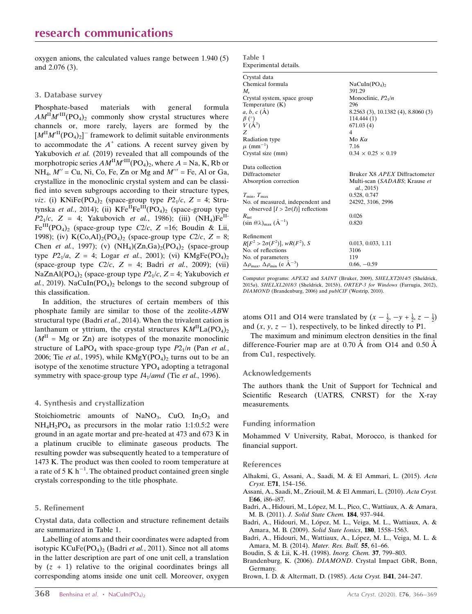oxygen anions, the calculated values range between 1.940 (5) and 2.076 (3).

#### 3. Database survey

Phosphate-based materials with general formula  $AM^{\text{II}}M'^{\text{III}}(PO_4)_2$  commonly show crystal structures where channels or, more rarely, layers are formed by the  $[M^{\mathrm{II}}M'^{\mathrm{II}}(PO_4)_2]$ <sup>-</sup> framework to delimit suitable environments to accommodate the  $A^+$  cations. A recent survey given by Yakubovich et al. (2019) revealed that all compounds of the morphotropic series  $AM^{\text{II}}M'^{\text{III}}(PO_4)_2$ , where  $A = \text{Na}$ , K, Rb or  $NH_4$ ,  $M'' = Cu$ , Ni, Co, Fe, Zn or Mg and  $M''' = Fe$ , Al or Ga, crystallize in the monoclinic crystal system and can be classified into seven subgroups according to their structure types, *viz.* (i) KNiFe(PO<sub>4</sub>)<sub>2</sub> (space-group type  $P2_1/c$ , Z = 4; Strutynska et al., 2014); (ii)  $KFe^{IH}Fe^{III}(PO_4)_2$  (space-group type  $P2_1/c$ , Z = 4; Yakubovich et al., 1986); (iii)  $(NH_4)Fe^{H-}$  $Fe^{III}(PO_4)$ <sub>2</sub> (space-group type C2/c, Z =16; Boudin & Lii, 1998); (iv) K(Co,Al)<sub>2</sub>(PO<sub>4</sub>)<sub>2</sub> (space-group type C2/c, Z = 8; Chen et al., 1997); (v)  $(NH<sub>4</sub>)(Zn,Ga)<sub>2</sub>(PO<sub>4</sub>)<sub>2</sub>$  (space-group type  $P2_1/a$ ,  $Z = 4$ ; Logar *et al.*, 2001); (vi) KMgFe(PO<sub>4</sub>)<sub>2</sub> (space-group type  $C2/c$ ,  $Z = 4$ ; Badri et al., 2009); (vii) NaZnAl(PO<sub>4</sub>)<sub>2</sub> (space-group type  $P2_1/c$ , Z = 4; Yakubovich *et* al., 2019). NaCuIn( $PO<sub>4</sub>$ )<sub>2</sub> belongs to the second subgroup of this classification.

In addition, the structures of certain members of this phosphate family are similar to those of the zeolite-ABW structural type (Badri et al., 2014). When the trivalent cation is lanthanum or yttrium, the crystal structures  $KM<sup>H</sup>La(PO<sub>4</sub>)<sub>2</sub>$  $(M<sup>II</sup> = Mg$  or Zn) are isotypes of the monazite monoclinic structure of LaPO<sub>4</sub> with space-group type  $P2_1/n$  (Pan et al., 2006; Tie et al., 1995), while  $KMgY(PO<sub>4</sub>)<sub>2</sub>$  turns out to be an isotype of the xenotime structure  $YPO<sub>4</sub>$  adopting a tetragonal symmetry with space-group type  $I4_1$ /amd (Tie et al., 1996).

#### 4. Synthesis and crystallization

Stoichiometric amounts of NaNO<sub>3</sub>, CuO,  $In<sub>2</sub>O<sub>3</sub>$  and  $NH_4H_2PO_4$  as precursors in the molar ratio 1:1:0.5:2 were ground in an agate mortar and pre-heated at 473 and 673 K in a platinum crucible to eliminate gaseous products. The resulting powder was subsequently heated to a temperature of 1473 K. The product was then cooled to room temperature at a rate of 5 K  $h^{-1}$ . The obtained product contained green single crystals corresponding to the title phosphate.

#### 5. Refinement

Crystal data, data collection and structure refinement details are summarized in Table 1.

Labelling of atoms and their coordinates were adapted from isotypic  $KCuFe(PO<sub>4</sub>)<sub>2</sub>$  (Badri et al., 2011). Since not all atoms in the latter description are part of one unit cell, a translation by  $(z + 1)$  relative to the original coordinates brings all corresponding atoms inside one unit cell. Moreover, oxygen

| Table 1 |                       |  |
|---------|-----------------------|--|
|         | Experimental details. |  |

| Crystal data                                                                                  |                                             |
|-----------------------------------------------------------------------------------------------|---------------------------------------------|
| Chemical formula                                                                              | NaCuIn(PO <sub>4</sub> ) <sub>2</sub>       |
| $M_{r}$                                                                                       | 391.29                                      |
| Crystal system, space group                                                                   | Monoclinic, $P2_1/n$                        |
| Temperature $(K)$                                                                             | 296                                         |
| $a, b, c (\AA)$                                                                               | 8.2563 (3), 10.1382 (4), 8.8060 (3)         |
|                                                                                               | 114.444 (1)                                 |
| $\overset{\beta}{V} \overset{\text{\tiny{(}}\circ)}{\overset{\text{\tiny{(}}\bullet}{(A^3)}}$ | 671.03(4)                                   |
| Z                                                                                             | $\overline{4}$                              |
| Radiation type                                                                                | Mo $K\alpha$                                |
| $\mu$ (mm <sup>-1</sup> )                                                                     | 7.16                                        |
| Crystal size (mm)                                                                             | $0.34 \times 0.25 \times 0.19$              |
| Data collection                                                                               |                                             |
| Diffractometer                                                                                | Bruker X8 APEX Diffractometer               |
| Absorption correction                                                                         | Multi-scan (SADABS; Krause et<br>al., 2015) |
| $T_{\min}, T_{\max}$                                                                          | 0.528, 0.747                                |
| No. of measured, independent and                                                              | 24292, 3106, 2996                           |
| observed $[I > 2\sigma(I)]$ reflections                                                       |                                             |
| $R_{\rm int}$                                                                                 | 0.026                                       |
| $(\sin \theta/\lambda)_{\text{max}}$ $(\text{\AA}^{-1})$                                      | 0.820                                       |
| Refinement                                                                                    |                                             |
| $R[F^2 > 2\sigma(F^2)], wR(F^2), S$                                                           | 0.013, 0.033, 1.11                          |
| No. of reflections                                                                            | 3106                                        |
| No. of parameters                                                                             | 119                                         |
| $\Delta \rho_{\text{max}}$ , $\Delta \rho_{\text{min}}$ (e Å <sup>-3</sup> )                  | $0.66, -0.59$                               |

Computer programs: APEX2 and SAINT (Bruker, 2009), SHELXT2014/5 (Sheldrick, 2015a), SHELXL2018/3 (Sheldrick, 2015b), ORTEP-3 for Windows (Farrugia, 2012), DIAMOND (Brandenburg, 2006) and publCIF (Westrip, 2010).

atoms O11 and O14 were translated by  $(x - \frac{1}{2}, -y + \frac{1}{2}, z - \frac{1}{2})$ and  $(x, y, z - 1)$ , respectively, to be linked directly to P1.

The maximum and minimum electron densities in the final difference-Fourier map are at  $0.70 \text{ Å}$  from O14 and  $0.50 \text{ Å}$ from Cu1, respectively.

#### Acknowledgements

The authors thank the Unit of Support for Technical and Scientific Research (UATRS, CNRST) for the X-ray measurements.

#### Funding information

Mohammed V University, Rabat, Morocco, is thanked for financial support.

#### References

- [Alhakmi, G., Assani, A., Saadi, M. & El Ammari, L. \(2015\).](http://scripts.iucr.org/cgi-bin/cr.cgi?rm=pdfbb&cnor=wm5539&bbid=BB1) Acta Cryst. E71[, 154–156.](http://scripts.iucr.org/cgi-bin/cr.cgi?rm=pdfbb&cnor=wm5539&bbid=BB1)
- [Assani, A., Saadi, M., Zriouil, M. & El Ammari, L. \(2010\).](http://scripts.iucr.org/cgi-bin/cr.cgi?rm=pdfbb&cnor=wm5539&bbid=BB2) Acta Cryst. E66[, i86–i87.](http://scripts.iucr.org/cgi-bin/cr.cgi?rm=pdfbb&cnor=wm5539&bbid=BB2)
- Badri, A., Hidouri, M., López, M. L., Pico, C., Wattiaux, A. & Amara, M. B. (2011). [J. Solid State Chem.](http://scripts.iucr.org/cgi-bin/cr.cgi?rm=pdfbb&cnor=wm5539&bbid=BB3) 184, 937–944.
- Badri, A., Hidouri, M., López, M. L., Veiga, M. L., Wattiaux, A. & [Amara, M. B. \(2009\).](http://scripts.iucr.org/cgi-bin/cr.cgi?rm=pdfbb&cnor=wm5539&bbid=BB4) Solid State Ionics, 180, 1558–1563.
- Badri, A., Hidouri, M., Wattiaux, A., López, M. L., Veiga, M. L. & [Amara, M. B. \(2014\).](http://scripts.iucr.org/cgi-bin/cr.cgi?rm=pdfbb&cnor=wm5539&bbid=BB5) Mater. Res. Bull. 55, 61–66.
- [Boudin, S. & Lii, K.-H. \(1998\).](http://scripts.iucr.org/cgi-bin/cr.cgi?rm=pdfbb&cnor=wm5539&bbid=BB6) Inorg. Chem. 37, 799–803.
- Brandenburg, K. (2006). DIAMOND[. Crystal Impact GbR, Bonn,](http://scripts.iucr.org/cgi-bin/cr.cgi?rm=pdfbb&cnor=wm5539&bbid=BB7) [Germany.](http://scripts.iucr.org/cgi-bin/cr.cgi?rm=pdfbb&cnor=wm5539&bbid=BB7)
- [Brown, I. D. & Altermatt, D. \(1985\).](http://scripts.iucr.org/cgi-bin/cr.cgi?rm=pdfbb&cnor=wm5539&bbid=BB8) Acta Cryst. B41, 244–247.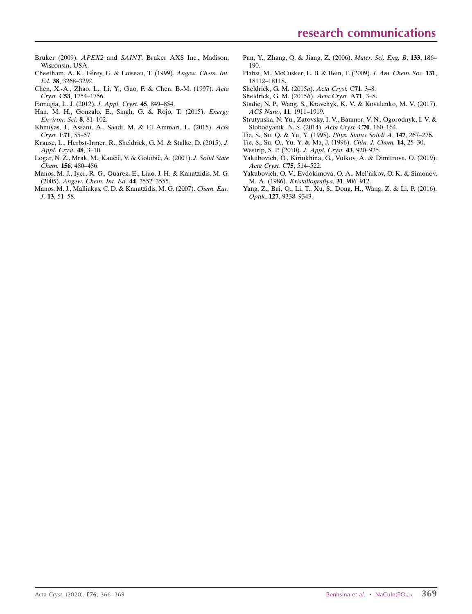- Bruker (2009). APEX2 and SAINT[. Bruker AXS Inc., Madison,](http://scripts.iucr.org/cgi-bin/cr.cgi?rm=pdfbb&cnor=wm5539&bbid=BB29) [Wisconsin, USA.](http://scripts.iucr.org/cgi-bin/cr.cgi?rm=pdfbb&cnor=wm5539&bbid=BB29)
- Cheetham, A. K., Férey, G. & Loiseau, T. (1999). Angew. Chem. Int. Ed. 38[, 3268–3292.](http://scripts.iucr.org/cgi-bin/cr.cgi?rm=pdfbb&cnor=wm5539&bbid=BB10)
- [Chen, X.-A., Zhao, L., Li, Y., Guo, F. & Chen, B.-M. \(1997\).](http://scripts.iucr.org/cgi-bin/cr.cgi?rm=pdfbb&cnor=wm5539&bbid=BB11) Acta Cryst. C53[, 1754–1756.](http://scripts.iucr.org/cgi-bin/cr.cgi?rm=pdfbb&cnor=wm5539&bbid=BB11)
- [Farrugia, L. J. \(2012\).](http://scripts.iucr.org/cgi-bin/cr.cgi?rm=pdfbb&cnor=wm5539&bbid=BB12) J. Appl. Cryst. 45, 849–854.
- [Han, M. H., Gonzalo, E., Singh, G. & Rojo, T. \(2015\).](http://scripts.iucr.org/cgi-bin/cr.cgi?rm=pdfbb&cnor=wm5539&bbid=BB13) Energy [Environ. Sci.](http://scripts.iucr.org/cgi-bin/cr.cgi?rm=pdfbb&cnor=wm5539&bbid=BB13) 8, 81–102.
- [Khmiyas, J., Assani, A., Saadi, M. & El Ammari, L. \(2015\).](http://scripts.iucr.org/cgi-bin/cr.cgi?rm=pdfbb&cnor=wm5539&bbid=BB14) Acta Cryst. E71[, 55–57.](http://scripts.iucr.org/cgi-bin/cr.cgi?rm=pdfbb&cnor=wm5539&bbid=BB14)
- [Krause, L., Herbst-Irmer, R., Sheldrick, G. M. & Stalke, D. \(2015\).](http://scripts.iucr.org/cgi-bin/cr.cgi?rm=pdfbb&cnor=wm5539&bbid=BB15) J. [Appl. Cryst.](http://scripts.iucr.org/cgi-bin/cr.cgi?rm=pdfbb&cnor=wm5539&bbid=BB15) 48, 3–10.
- Logar, N. Z., Mrak, M., Kaučič, V. & Golobič, A. (2001). J. Solid State Chem. 156[, 480–486.](http://scripts.iucr.org/cgi-bin/cr.cgi?rm=pdfbb&cnor=wm5539&bbid=BB16)
- [Manos, M. J., Iyer, R. G., Quarez, E., Liao, J. H. & Kanatzidis, M. G.](http://scripts.iucr.org/cgi-bin/cr.cgi?rm=pdfbb&cnor=wm5539&bbid=BB17) (2005). [Angew. Chem. Int. Ed.](http://scripts.iucr.org/cgi-bin/cr.cgi?rm=pdfbb&cnor=wm5539&bbid=BB17) 44, 3552–3555.
- [Manos, M. J., Malliakas, C. D. & Kanatzidis, M. G. \(2007\).](http://scripts.iucr.org/cgi-bin/cr.cgi?rm=pdfbb&cnor=wm5539&bbid=BB18) Chem. Eur. J. 13[, 51–58.](http://scripts.iucr.org/cgi-bin/cr.cgi?rm=pdfbb&cnor=wm5539&bbid=BB18)
- [Pan, Y., Zhang, Q. & Jiang, Z. \(2006\).](http://scripts.iucr.org/cgi-bin/cr.cgi?rm=pdfbb&cnor=wm5539&bbid=BB19) Mater. Sci. Eng. B, 133, 186– [190.](http://scripts.iucr.org/cgi-bin/cr.cgi?rm=pdfbb&cnor=wm5539&bbid=BB19)
- [Plabst, M., McCusker, L. B. & Bein, T. \(2009\).](http://scripts.iucr.org/cgi-bin/cr.cgi?rm=pdfbb&cnor=wm5539&bbid=BB20) J. Am. Chem. Soc. 131, [18112–18118.](http://scripts.iucr.org/cgi-bin/cr.cgi?rm=pdfbb&cnor=wm5539&bbid=BB20)
- [Sheldrick, G. M. \(2015](http://scripts.iucr.org/cgi-bin/cr.cgi?rm=pdfbb&cnor=wm5539&bbid=BB21)a). Acta Cryst. C71, 3–8.
- [Sheldrick, G. M. \(2015](http://scripts.iucr.org/cgi-bin/cr.cgi?rm=pdfbb&cnor=wm5539&bbid=BB22)b). Acta Cryst. A71, 3–8.
- [Stadie, N. P., Wang, S., Kravchyk, K. V. & Kovalenko, M. V. \(2017\).](http://scripts.iucr.org/cgi-bin/cr.cgi?rm=pdfbb&cnor=wm5539&bbid=BB23) ACS Nano, 11[, 1911–1919.](http://scripts.iucr.org/cgi-bin/cr.cgi?rm=pdfbb&cnor=wm5539&bbid=BB23)
- [Strutynska, N. Yu., Zatovsky, I. V., Baumer, V. N., Ogorodnyk, I. V. &](http://scripts.iucr.org/cgi-bin/cr.cgi?rm=pdfbb&cnor=wm5539&bbid=BB24) [Slobodyanik, N. S. \(2014\).](http://scripts.iucr.org/cgi-bin/cr.cgi?rm=pdfbb&cnor=wm5539&bbid=BB24) Acta Cryst. C70, 160–164.
- [Tie, S., Su, Q. & Yu, Y. \(1995\).](http://scripts.iucr.org/cgi-bin/cr.cgi?rm=pdfbb&cnor=wm5539&bbid=BB25) Phys. Status Solidi A, 147, 267–276.
- [Tie, S., Su, Q., Yu, Y. & Ma, J. \(1996\).](http://scripts.iucr.org/cgi-bin/cr.cgi?rm=pdfbb&cnor=wm5539&bbid=BB26) Chin. J. Chem. 14, 25–30.
- [Westrip, S. P. \(2010\).](http://scripts.iucr.org/cgi-bin/cr.cgi?rm=pdfbb&cnor=wm5539&bbid=BB27) J. Appl. Cryst. 43, 920–925.
- [Yakubovich, O., Kiriukhina, G., Volkov, A. & Dimitrova, O. \(2019\).](http://scripts.iucr.org/cgi-bin/cr.cgi?rm=pdfbb&cnor=wm5539&bbid=BB28) [Acta Cryst.](http://scripts.iucr.org/cgi-bin/cr.cgi?rm=pdfbb&cnor=wm5539&bbid=BB28) C75, 514–522.
- [Yakubovich, O. V., Evdokimova, O. A., Mel'nikov, O. K. & Simonov,](http://scripts.iucr.org/cgi-bin/cr.cgi?rm=pdfbb&cnor=wm5539&bbid=BB29) M. A. (1986). [Kristallografiya](http://scripts.iucr.org/cgi-bin/cr.cgi?rm=pdfbb&cnor=wm5539&bbid=BB29), 31, 906–912.
- [Yang, Z., Bai, Q., Li, T., Xu, S., Dong, H., Wang, Z. & Li, P. \(2016\).](http://scripts.iucr.org/cgi-bin/cr.cgi?rm=pdfbb&cnor=wm5539&bbid=BB30) Optik, 127[, 9338–9343.](http://scripts.iucr.org/cgi-bin/cr.cgi?rm=pdfbb&cnor=wm5539&bbid=BB30)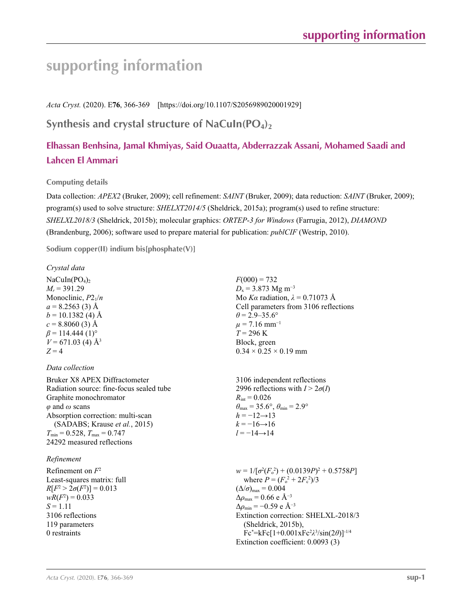# **supporting information**

*Acta Cryst.* (2020). E**76**, 366-369 [https://doi.org/10.1107/S2056989020001929]

# Synthesis and crystal structure of NaCuIn(PO<sub>4</sub>)<sub>2</sub>

# **Elhassan Benhsina, Jamal Khmiyas, Said Ouaatta, Abderrazzak Assani, Mohamed Saadi and Lahcen El Ammari**

# **Computing details**

Data collection: *APEX2* (Bruker, 2009); cell refinement: *SAINT* (Bruker, 2009); data reduction: *SAINT* (Bruker, 2009); program(s) used to solve structure: *SHELXT2014/5* (Sheldrick, 2015a); program(s) used to refine structure: *SHELXL2018/3* (Sheldrick, 2015b); molecular graphics: *ORTEP*-*3 for Windows* (Farrugia, 2012), *DIAMOND* (Brandenburg, 2006); software used to prepare material for publication: *publCIF* (Westrip, 2010).

**Sodium copper(II) indium bis[phosphate(V)]** 

# *Crystal data*

 $NaCuIn(PO<sub>4</sub>)<sub>2</sub>$  $M_r = 391.29$ Monoclinic, *P*21/*n*  $a = 8.2563(3)$  Å  $b = 10.1382$  (4) Å  $c = 8.8060(3)$  Å  $\beta$  = 114.444 (1)<sup>o</sup>  $V = 671.03$  (4) Å<sup>3</sup>  $Z = 4$ 

# *Data collection*

Bruker X8 APEX Diffractometer Radiation source: fine-focus sealed tube Graphite monochromator *φ* and *ω* scans Absorption correction: multi-scan (SADABS; Krause *et al.*, 2015)  $T_{\text{min}} = 0.528$ ,  $T_{\text{max}} = 0.747$ 24292 measured reflections

# *Refinement*

Refinement on *F*<sup>2</sup> Least-squares matrix: full  $R[F^2 > 2\sigma(F^2)] = 0.013$  $wR(F^2) = 0.033$  $S = 1.11$ 3106 reflections 119 parameters 0 restraints

 $F(000) = 732$  $D_x$  = 3.873 Mg m<sup>-3</sup> Mo *Kα* radiation,  $\lambda = 0.71073$  Å Cell parameters from 3106 reflections  $\theta$  = 2.9–35.6°  $\mu$  = 7.16 mm<sup>-1</sup>  $T = 296 \text{ K}$ Block, green  $0.34 \times 0.25 \times 0.19$  mm

3106 independent reflections 2996 reflections with  $I > 2\sigma(I)$  $R_{\text{int}} = 0.026$  $\theta_{\text{max}} = 35.6^{\circ}, \theta_{\text{min}} = 2.9^{\circ}$  $h = -12 \rightarrow 13$  $k = -16 \rightarrow 16$  $l = -14 \rightarrow 14$ 

 $w = 1/[\sigma^2(F_o^2) + (0.0139P)^2 + 0.5758P]$ where  $P = (F_o^2 + 2F_c^2)/3$  $(\Delta/\sigma)_{\text{max}} = 0.004$  $Δρ<sub>max</sub> = 0.66 e Å<sup>-3</sup>$  $\Delta\rho_{\rm min} = -0.59$  e Å<sup>-3</sup> Extinction correction: SHELXL-2018/3 (Sheldrick, 2015b), Fc\* =kFc[1+0.001xFc2 *λ*3 /sin(2*θ*)]-1/4 Extinction coefficient: 0.0093 (3)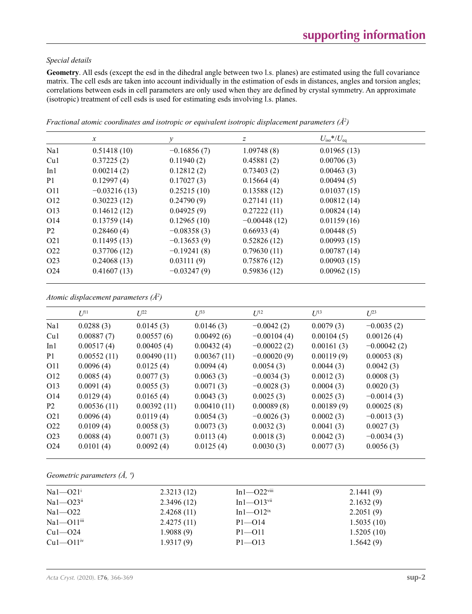### *Special details*

**Geometry**. All esds (except the esd in the dihedral angle between two l.s. planes) are estimated using the full covariance matrix. The cell esds are taken into account individually in the estimation of esds in distances, angles and torsion angles; correlations between esds in cell parameters are only used when they are defined by crystal symmetry. An approximate (isotropic) treatment of cell esds is used for estimating esds involving l.s. planes.

|                  | $\mathcal{X}$  | у             | z              | $U_{\rm iso}*/U_{\rm eq}$ |  |
|------------------|----------------|---------------|----------------|---------------------------|--|
| Na1              | 0.51418(10)    | $-0.16856(7)$ | 1.09748(8)     | 0.01965(13)               |  |
| Cu1              | 0.37225(2)     | 0.11940(2)    | 0.45881(2)     | 0.00706(3)                |  |
| In1              | 0.00214(2)     | 0.12812(2)    | 0.73403(2)     | 0.00463(3)                |  |
| P <sub>1</sub>   | 0.12997(4)     | 0.17027(3)    | 0.15664(4)     | 0.00494(5)                |  |
| O11              | $-0.03216(13)$ | 0.25215(10)   | 0.13588(12)    | 0.01037(15)               |  |
| O <sub>12</sub>  | 0.30223(12)    | 0.24790(9)    | 0.27141(11)    | 0.00812(14)               |  |
| O <sub>13</sub>  | 0.14612(12)    | 0.04925(9)    | 0.27222(11)    | 0.00824(14)               |  |
| O <sub>14</sub>  | 0.13759(14)    | 0.12965(10)   | $-0.00448(12)$ | 0.01159(16)               |  |
| P <sub>2</sub>   | 0.28460(4)     | $-0.08358(3)$ | 0.66933(4)     | 0.00448(5)                |  |
| O <sub>2</sub> 1 | 0.11495(13)    | $-0.13653(9)$ | 0.52826(12)    | 0.00993(15)               |  |
| O <sub>22</sub>  | 0.37706(12)    | $-0.19241(8)$ | 0.79630(11)    | 0.00787(14)               |  |
| O <sub>2</sub> 3 | 0.24068(13)    | 0.03111(9)    | 0.75876(12)    | 0.00903(15)               |  |
| O <sub>24</sub>  | 0.41607(13)    | $-0.03247(9)$ | 0.59836(12)    | 0.00962(15)               |  |

*Fractional atomic coordinates and isotropic or equivalent isotropic displacement parameters (Å2 )*

| Atomic displacement parameters $(\AA^2)$ |  |  |  |  |
|------------------------------------------|--|--|--|--|
|------------------------------------------|--|--|--|--|

|                  | $U^{11}$    | $L^{22}$    | $\mathcal{L}^{\beta 3}$ | $U^{12}$      | $U^{13}$   | $L^{23}$      |
|------------------|-------------|-------------|-------------------------|---------------|------------|---------------|
| Na1              | 0.0288(3)   | 0.0145(3)   | 0.0146(3)               | $-0.0042(2)$  | 0.0079(3)  | $-0.0035(2)$  |
| Cu1              | 0.00887(7)  | 0.00557(6)  | 0.00492(6)              | $-0.00104(4)$ | 0.00104(5) | 0.00126(4)    |
| In1              | 0.00517(4)  | 0.00405(4)  | 0.00432(4)              | $-0.00022(2)$ | 0.00161(3) | $-0.00042(2)$ |
| P <sub>1</sub>   | 0.00552(11) | 0.00490(11) | 0.00367(11)             | $-0.00020(9)$ | 0.00119(9) | 0.00053(8)    |
| O11              | 0.0096(4)   | 0.0125(4)   | 0.0094(4)               | 0.0054(3)     | 0.0044(3)  | 0.0042(3)     |
| O <sub>12</sub>  | 0.0085(4)   | 0.0077(3)   | 0.0063(3)               | $-0.0034(3)$  | 0.0012(3)  | 0.0008(3)     |
| O13              | 0.0091(4)   | 0.0055(3)   | 0.0071(3)               | $-0.0028(3)$  | 0.0004(3)  | 0.0020(3)     |
| O <sub>14</sub>  | 0.0129(4)   | 0.0165(4)   | 0.0043(3)               | 0.0025(3)     | 0.0025(3)  | $-0.0014(3)$  |
| P <sub>2</sub>   | 0.00536(11) | 0.00392(11) | 0.00410(11)             | 0.00089(8)    | 0.00189(9) | 0.00025(8)    |
| O <sub>2</sub> 1 | 0.0096(4)   | 0.0119(4)   | 0.0054(3)               | $-0.0026(3)$  | 0.0002(3)  | $-0.0013(3)$  |
| O <sub>22</sub>  | 0.0109(4)   | 0.0058(3)   | 0.0073(3)               | 0.0032(3)     | 0.0041(3)  | 0.0027(3)     |
| O <sub>2</sub> 3 | 0.0088(4)   | 0.0071(3)   | 0.0113(4)               | 0.0018(3)     | 0.0042(3)  | $-0.0034(3)$  |
| O <sub>24</sub>  | 0.0101(4)   | 0.0092(4)   | 0.0125(4)               | 0.0030(3)     | 0.0077(3)  | 0.0056(3)     |
|                  |             |             |                         |               |            |               |

*Geometric parameters (Å, º)*

| $Na1 - O21$ <sup>i</sup>   | 2.3213(12) | $In1-O22$ <sup>viii</sup>    | 2.1441(9)  |
|----------------------------|------------|------------------------------|------------|
| $Na1 - O23$ <sup>ii</sup>  | 2.3496(12) | $In1$ — $O13$ <sup>vii</sup> | 2.1632(9)  |
| $Na1 - O22$                | 2.4268(11) | $In1$ — $O12$ <sup>ix</sup>  | 2.2051(9)  |
| $Na1 - O11$ <sup>iii</sup> | 2.4275(11) | $P1 - O14$                   | 1.5035(10) |
| $Cu1 - O24$                | 1.9088(9)  | $P1 - O11$                   | 1.5205(10) |
| $Cu1 - O11$ <sup>iv</sup>  | 1.9317(9)  | $P1 - O13$                   | 1.5642(9)  |
|                            |            |                              |            |